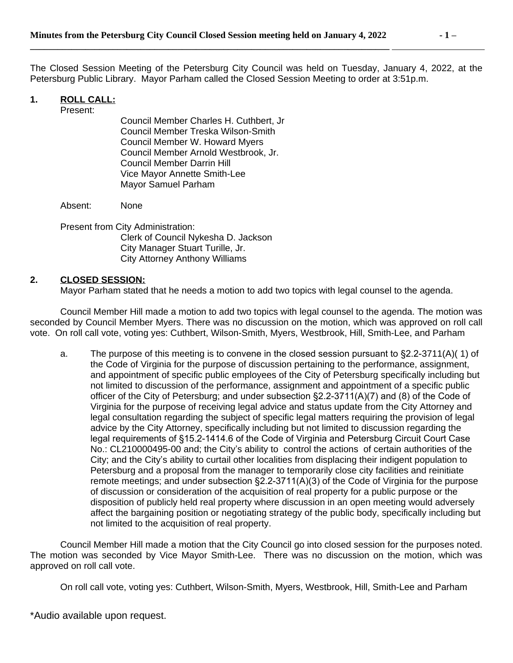The Closed Session Meeting of the Petersburg City Council was held on Tuesday, January 4, 2022, at the Petersburg Public Library. Mayor Parham called the Closed Session Meeting to order at 3:51p.m.

## **1. ROLL CALL:**

Present:

Council Member Charles H. Cuthbert, Jr Council Member Treska Wilson-Smith Council Member W. Howard Myers Council Member Arnold Westbrook, Jr. Council Member Darrin Hill Vice Mayor Annette Smith-Lee Mayor Samuel Parham

Absent: None

Present from City Administration: Clerk of Council Nykesha D. Jackson City Manager Stuart Turille, Jr. City Attorney Anthony Williams

## **2. CLOSED SESSION:**

Mayor Parham stated that he needs a motion to add two topics with legal counsel to the agenda.

Council Member Hill made a motion to add two topics with legal counsel to the agenda. The motion was seconded by Council Member Myers. There was no discussion on the motion, which was approved on roll call vote. On roll call vote, voting yes: Cuthbert, Wilson-Smith, Myers, Westbrook, Hill, Smith-Lee, and Parham

a. The purpose of this meeting is to convene in the closed session pursuant to §2.2-3711(A)( 1) of the Code of Virginia for the purpose of discussion pertaining to the performance, assignment, and appointment of specific public employees of the City of Petersburg specifically including but not limited to discussion of the performance, assignment and appointment of a specific public officer of the City of Petersburg; and under subsection §2.2-3711(A)(7) and (8) of the Code of Virginia for the purpose of receiving legal advice and status update from the City Attorney and legal consultation regarding the subject of specific legal matters requiring the provision of legal advice by the City Attorney, specifically including but not limited to discussion regarding the legal requirements of §15.2-1414.6 of the Code of Virginia and Petersburg Circuit Court Case No.: CL210000495-00 and; the City's ability to control the actions of certain authorities of the City; and the City's ability to curtail other localities from displacing their indigent population to Petersburg and a proposal from the manager to temporarily close city facilities and reinitiate remote meetings; and under subsection §2.2-3711(A)(3) of the Code of Virginia for the purpose of discussion or consideration of the acquisition of real property for a public purpose or the disposition of publicly held real property where discussion in an open meeting would adversely affect the bargaining position or negotiating strategy of the public body, specifically including but not limited to the acquisition of real property.

Council Member Hill made a motion that the City Council go into closed session for the purposes noted. The motion was seconded by Vice Mayor Smith-Lee. There was no discussion on the motion, which was approved on roll call vote.

On roll call vote, voting yes: Cuthbert, Wilson-Smith, Myers, Westbrook, Hill, Smith-Lee and Parham